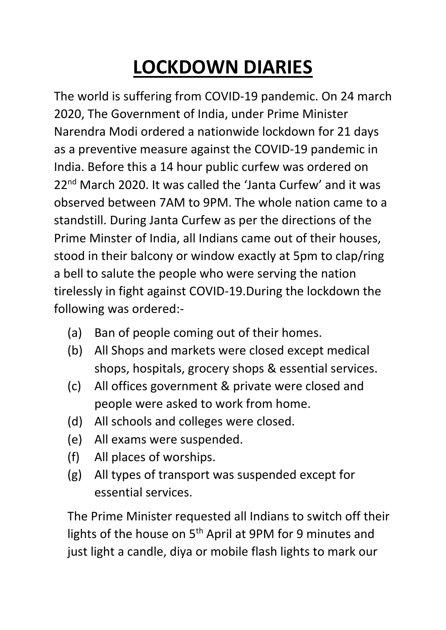## **LOCKDOWN DIARIES**

The world is suffering from COVID-19 pandemic. On 24 march 2020, The Government of India, under Prime Minister Narendra Modi ordered a nationwide lockdown for 21 days as a preventive measure against the COVID-19 pandemic in India. Before this a 14 hour public curfew was ordered on 22<sup>nd</sup> March 2020. It was called the 'Janta Curfew' and it was observed between 7AM to 9PM. The whole nation came to a standstill. During Janta Curfew as per the directions of the Prime Minster of India, all Indians came out of their houses, stood in their balcony or window exactly at 5pm to clap/ring a bell to salute the people who were serving the nation tirelessly in fight against COVID-19.During the lockdown the following was ordered:-

- (a) Ban of people coming out of their homes.
- (b) All Shops and markets were closed except medical shops, hospitals, grocery shops & essential services.
- (c) All offices government & private were closed and people were asked to work from home.
- (d) All schools and colleges were closed.
- (e) All exams were suspended.
- (f) All places of worships.
- (g) All types of transport was suspended except for essential services.

The Prime Minister requested all Indians to switch off their lights of the house on 5<sup>th</sup> April at 9PM for 9 minutes and just light a candle, diya or mobile flash lights to mark our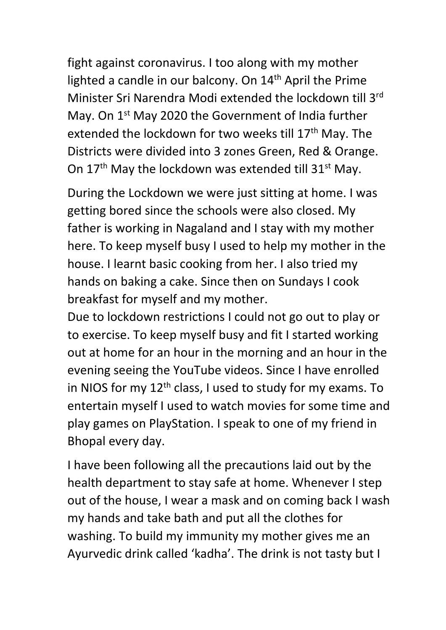fight against coronavirus. I too along with my mother lighted a candle in our balcony. On 14<sup>th</sup> April the Prime Minister Sri Narendra Modi extended the lockdown till 3rd May. On 1<sup>st</sup> May 2020 the Government of India further extended the lockdown for two weeks till 17<sup>th</sup> May. The Districts were divided into 3 zones Green, Red & Orange. On  $17<sup>th</sup>$  May the lockdown was extended till  $31<sup>st</sup>$  May.

During the Lockdown we were just sitting at home. I was getting bored since the schools were also closed. My father is working in Nagaland and I stay with my mother here. To keep myself busy I used to help my mother in the house. I learnt basic cooking from her. I also tried my hands on baking a cake. Since then on Sundays I cook breakfast for myself and my mother.

Due to lockdown restrictions I could not go out to play or to exercise. To keep myself busy and fit I started working out at home for an hour in the morning and an hour in the evening seeing the YouTube videos. Since I have enrolled in NIOS for my  $12<sup>th</sup>$  class, I used to study for my exams. To entertain myself I used to watch movies for some time and play games on PlayStation. I speak to one of my friend in Bhopal every day.

I have been following all the precautions laid out by the health department to stay safe at home. Whenever I step out of the house, I wear a mask and on coming back I wash my hands and take bath and put all the clothes for washing. To build my immunity my mother gives me an Ayurvedic drink called 'kadha'. The drink is not tasty but I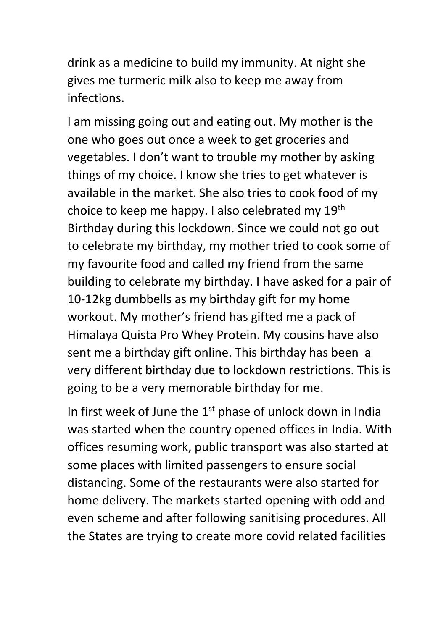drink as a medicine to build my immunity. At night she gives me turmeric milk also to keep me away from infections.

I am missing going out and eating out. My mother is the one who goes out once a week to get groceries and vegetables. I don't want to trouble my mother by asking things of my choice. I know she tries to get whatever is available in the market. She also tries to cook food of my choice to keep me happy. I also celebrated my 19th Birthday during this lockdown. Since we could not go out to celebrate my birthday, my mother tried to cook some of my favourite food and called my friend from the same building to celebrate my birthday. I have asked for a pair of 10-12kg dumbbells as my birthday gift for my home workout. My mother's friend has gifted me a pack of Himalaya Quista Pro Whey Protein. My cousins have also sent me a birthday gift online. This birthday has been a very different birthday due to lockdown restrictions. This is going to be a very memorable birthday for me.

In first week of June the  $1<sup>st</sup>$  phase of unlock down in India was started when the country opened offices in India. With offices resuming work, public transport was also started at some places with limited passengers to ensure social distancing. Some of the restaurants were also started for home delivery. The markets started opening with odd and even scheme and after following sanitising procedures. All the States are trying to create more covid related facilities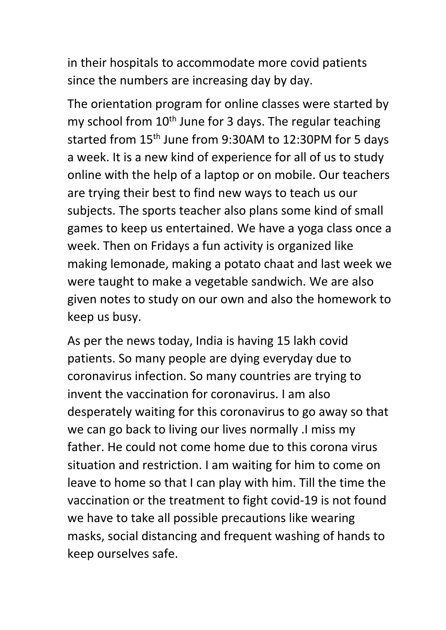in their hospitals to accommodate more covid patients since the numbers are increasing day by day.

The orientation program for online classes were started by my school from  $10<sup>th</sup>$  June for 3 days. The regular teaching started from 15<sup>th</sup> June from 9:30AM to 12:30PM for 5 days a week. It is a new kind of experience for all of us to study online with the help of a laptop or on mobile. Our teachers are trying their best to find new ways to teach us our subjects. The sports teacher also plans some kind of small games to keep us entertained. We have a yoga class once a week. Then on Fridays a fun activity is organized like making lemonade, making a potato chaat and last week we were taught to make a vegetable sandwich. We are also given notes to study on our own and also the homework to keep us busy.

As per the news today, India is having 15 lakh covid patients. So many people are dying everyday due to coronavirus infection. So many countries are trying to invent the vaccination for coronavirus. I am also desperately waiting for this coronavirus to go away so that we can go back to living our lives normally .I miss my father. He could not come home due to this corona virus situation and restriction. I am waiting for him to come on leave to home so that I can play with him. Till the time the vaccination or the treatment to fight covid-19 is not found we have to take all possible precautions like wearing masks, social distancing and frequent washing of hands to keep ourselves safe.